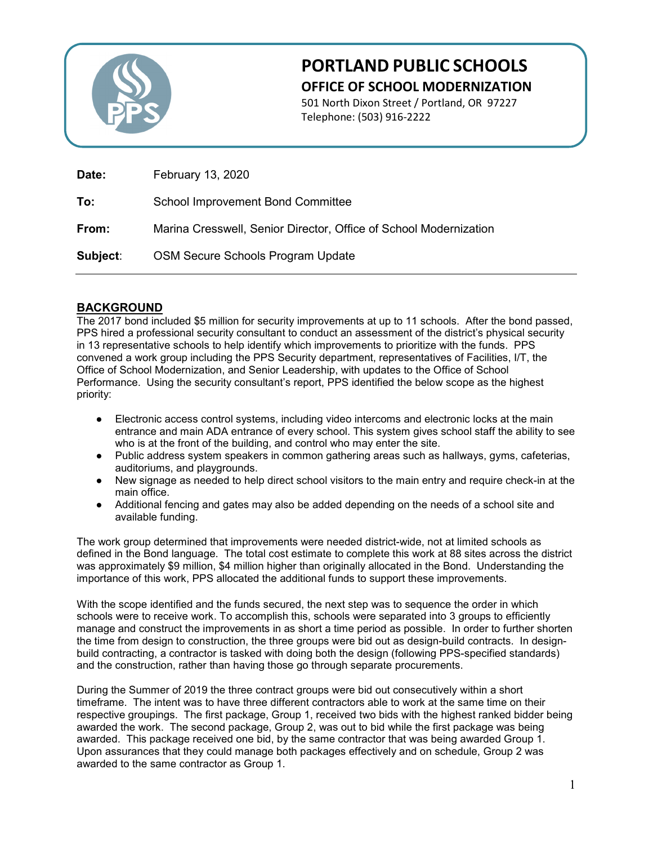

## **PORTLAND PUBLIC SCHOOLS OFFICE OF SCHOOL MODERNIZATION**

501 North Dixon Street / Portland, OR 97227 Telephone: (503) 916-2222

| Date:    | <b>February 13, 2020</b>                                          |
|----------|-------------------------------------------------------------------|
| To:      | <b>School Improvement Bond Committee</b>                          |
| From:    | Marina Cresswell, Senior Director, Office of School Modernization |
| Subject: | <b>OSM Secure Schools Program Update</b>                          |

## **BACKGROUND**

The 2017 bond included \$5 million for security improvements at up to 11 schools. After the bond passed, PPS hired a professional security consultant to conduct an assessment of the district's physical security in 13 representative schools to help identify which improvements to prioritize with the funds. PPS convened a work group including the PPS Security department, representatives of Facilities, I/T, the Office of School Modernization, and Senior Leadership, with updates to the Office of School Performance. Using the security consultant's report, PPS identified the below scope as the highest priority:

- Electronic access control systems, including video intercoms and electronic locks at the main entrance and main ADA entrance of every school. This system gives school staff the ability to see who is at the front of the building, and control who may enter the site.
- Public address system speakers in common gathering areas such as hallways, gyms, cafeterias, auditoriums, and playgrounds.
- New signage as needed to help direct school visitors to the main entry and require check-in at the main office.
- Additional fencing and gates may also be added depending on the needs of a school site and available funding.

The work group determined that improvements were needed district-wide, not at limited schools as defined in the Bond language. The total cost estimate to complete this work at 88 sites across the district was approximately \$9 million, \$4 million higher than originally allocated in the Bond. Understanding the importance of this work, PPS allocated the additional funds to support these improvements.

With the scope identified and the funds secured, the next step was to sequence the order in which schools were to receive work. To accomplish this, schools were separated into 3 groups to efficiently manage and construct the improvements in as short a time period as possible. In order to further shorten the time from design to construction, the three groups were bid out as design-build contracts. In designbuild contracting, a contractor is tasked with doing both the design (following PPS-specified standards) and the construction, rather than having those go through separate procurements.

During the Summer of 2019 the three contract groups were bid out consecutively within a short timeframe. The intent was to have three different contractors able to work at the same time on their respective groupings. The first package, Group 1, received two bids with the highest ranked bidder being awarded the work. The second package, Group 2, was out to bid while the first package was being awarded. This package received one bid, by the same contractor that was being awarded Group 1. Upon assurances that they could manage both packages effectively and on schedule, Group 2 was awarded to the same contractor as Group 1.